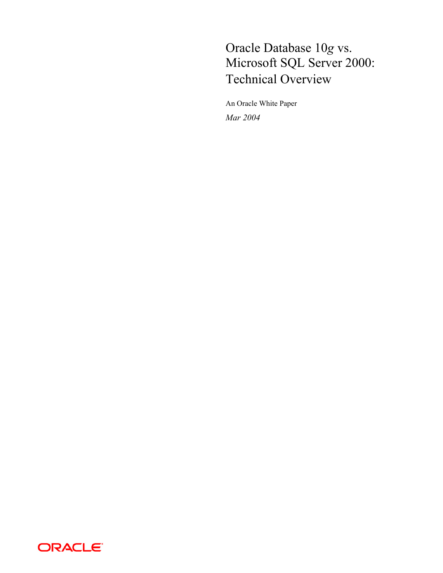# Oracle Database 10*g* vs. Microsoft SQL Server 2000: Technical Overview

An Oracle White Paper *Mar 2004* 

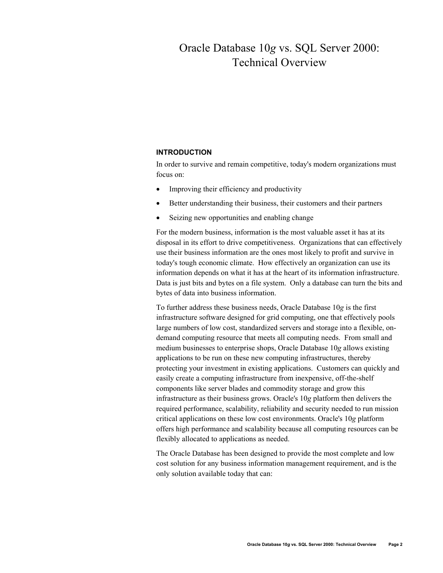# Oracle Database 10*g* vs. SQL Server 2000: Technical Overview

## **INTRODUCTION**

In order to survive and remain competitive, today's modern organizations must focus on:

- Improving their efficiency and productivity
- Better understanding their business, their customers and their partners
- Seizing new opportunities and enabling change

For the modern business, information is the most valuable asset it has at its disposal in its effort to drive competitiveness. Organizations that can effectively use their business information are the ones most likely to profit and survive in today's tough economic climate. How effectively an organization can use its information depends on what it has at the heart of its information infrastructure. Data is just bits and bytes on a file system. Only a database can turn the bits and bytes of data into business information.

To further address these business needs, Oracle Database 10*g* is the first infrastructure software designed for grid computing, one that effectively pools large numbers of low cost, standardized servers and storage into a flexible, ondemand computing resource that meets all computing needs. From small and medium businesses to enterprise shops, Oracle Database 10*g* allows existing applications to be run on these new computing infrastructures, thereby protecting your investment in existing applications. Customers can quickly and easily create a computing infrastructure from inexpensive, off-the-shelf components like server blades and commodity storage and grow this infrastructure as their business grows. Oracle's 10*g* platform then delivers the required performance, scalability, reliability and security needed to run mission critical applications on these low cost environments. Oracle's 10*g* platform offers high performance and scalability because all computing resources can be flexibly allocated to applications as needed.

The Oracle Database has been designed to provide the most complete and low cost solution for any business information management requirement, and is the only solution available today that can: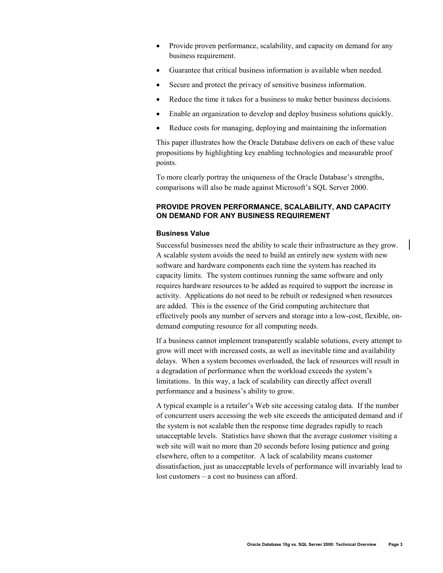- Provide proven performance, scalability, and capacity on demand for any business requirement.
- Guarantee that critical business information is available when needed.
- Secure and protect the privacy of sensitive business information.
- Reduce the time it takes for a business to make better business decisions.
- Enable an organization to develop and deploy business solutions quickly.
- Reduce costs for managing, deploying and maintaining the information

This paper illustrates how the Oracle Database delivers on each of these value propositions by highlighting key enabling technologies and measurable proof points.

To more clearly portray the uniqueness of the Oracle Database's strengths, comparisons will also be made against Microsoft's SQL Server 2000.

# **PROVIDE PROVEN PERFORMANCE, SCALABILITY, AND CAPACITY ON DEMAND FOR ANY BUSINESS REQUIREMENT**

# **Business Value**

Successful businesses need the ability to scale their infrastructure as they grow. A scalable system avoids the need to build an entirely new system with new software and hardware components each time the system has reached its capacity limits. The system continues running the same software and only requires hardware resources to be added as required to support the increase in activity. Applications do not need to be rebuilt or redesigned when resources are added. This is the essence of the Grid computing architecture that effectively pools any number of servers and storage into a low-cost, flexible, ondemand computing resource for all computing needs.

If a business cannot implement transparently scalable solutions, every attempt to grow will meet with increased costs, as well as inevitable time and availability delays. When a system becomes overloaded, the lack of resources will result in a degradation of performance when the workload exceeds the system's limitations. In this way, a lack of scalability can directly affect overall performance and a business's ability to grow.

A typical example is a retailer's Web site accessing catalog data. If the number of concurrent users accessing the web site exceeds the anticipated demand and if the system is not scalable then the response time degrades rapidly to reach unacceptable levels. Statistics have shown that the average customer visiting a web site will wait no more than 20 seconds before losing patience and going elsewhere, often to a competitor. A lack of scalability means customer dissatisfaction, just as unacceptable levels of performance will invariably lead to lost customers – a cost no business can afford.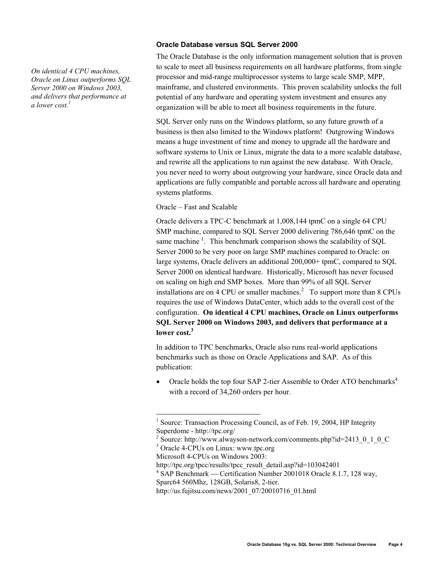*On identical 4 CPU machines, Oracle on Linux outperforms SQL Server 2000 on Windows 2003, and delivers that performance at a lower cost.1*

# **Oracle Database versus SQL Server 2000**

The Oracle Database is the only information management solution that is proven to scale to meet all business requirements on all hardware platforms, from single processor and mid-range multiprocessor systems to large scale SMP, MPP, mainframe, and clustered environments. This proven scalability unlocks the full potential of any hardware and operating system investment and ensures any organization will be able to meet all business requirements in the future.

SQL Server only runs on the Windows platform, so any future growth of a business is then also limited to the Windows platform! Outgrowing Windows means a huge investment of time and money to upgrade all the hardware and software systems to Unix or Linux, migrate the data to a more scalable database, and rewrite all the applications to run against the new database. With Oracle, you never need to worry about outgrowing your hardware, since Oracle data and applications are fully compatible and portable across all hardware and operating systems platforms.

Oracle – Fast and Scalable

Oracle delivers a TPC-C benchmark at 1,008,144 tpmC on a single 64 CPU SMP machine, compared to SQL Server 2000 delivering 786,646 tpmC on the same machine<sup>1</sup>. This benchmark comparison shows the scalability of SQL Server 2000 to be very poor on large SMP machines compared to Oracle: on large systems, Oracle delivers an additional 200,000+ tpmC, compared to SQL Server 2000 on identical hardware. Historically, Microsoft has never focused on scaling on high end SMP boxes. More than 99% of all SQL Server installations are on 4 CPU or smaller machines.<sup>2</sup> To support more than 8 CPUs requires the use of Windows DataCenter, which adds to the overall cost of the configuration. **On identical 4 CPU machines, Oracle on Linux outperforms SQL Server 2000 on Windows 2003, and delivers that performance at a lower cost.<sup>3</sup>**

In addition to TPC benchmarks, Oracle also runs real-world applications benchmarks such as those on Oracle Applications and SAP. As of this publication:

Oracle holds the top four SAP 2-tier Assemble to Order ATO benchmarks<sup>4</sup> with a record of 34,260 orders per hour.

 $\overline{a}$ 

<sup>&</sup>lt;sup>1</sup> Source: Transaction Processing Council, as of Feb. 19, 2004, HP Integrity Superdome - http://tpc.org/

 $^2$  Source: http://www.alwayson-network.com/comments.php?id=2413\_0\_1\_0\_C

<sup>3</sup> Oracle 4-CPUs on Linux: www.tpc.org

Microsoft 4-CPUs on Windows 2003:

http://tpc.org/tpcc/results/tpcc\_result\_detail.asp?id=103042401 4

<sup>&</sup>lt;sup>4</sup> SAP Benchmark — Certification Number 2001018 Oracle 8.1.7, 128 way, Sparc64 560Mhz, 128GB, Solaris8, 2-tier.

http://us.fujitsu.com/news/2001\_07/20010716\_01.html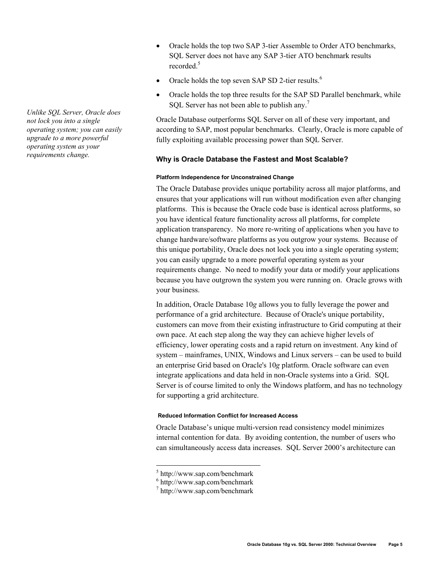*Unlike SQL Server, Oracle does not lock you into a single operating system; you can easily upgrade to a more powerful operating system as your requirements change.* 

- Oracle holds the top two SAP 3-tier Assemble to Order ATO benchmarks, SQL Server does not have any SAP 3-tier ATO benchmark results recorded.<sup>5</sup>
- Oracle holds the top seven SAP SD 2-tier results.<sup>6</sup>
- Oracle holds the top three results for the SAP SD Parallel benchmark, while SQL Server has not been able to publish any.<sup>7</sup>

Oracle Database outperforms SQL Server on all of these very important, and according to SAP, most popular benchmarks. Clearly, Oracle is more capable of fully exploiting available processing power than SQL Server.

# **Why is Oracle Database the Fastest and Most Scalable?**

# **Platform Independence for Unconstrained Change**

The Oracle Database provides unique portability across all major platforms, and ensures that your applications will run without modification even after changing platforms. This is because the Oracle code base is identical across platforms, so you have identical feature functionality across all platforms, for complete application transparency. No more re-writing of applications when you have to change hardware/software platforms as you outgrow your systems. Because of this unique portability, Oracle does not lock you into a single operating system; you can easily upgrade to a more powerful operating system as your requirements change. No need to modify your data or modify your applications because you have outgrown the system you were running on. Oracle grows with your business.

In addition, Oracle Database 10*g* allows you to fully leverage the power and performance of a grid architecture. Because of Oracle's unique portability, customers can move from their existing infrastructure to Grid computing at their own pace. At each step along the way they can achieve higher levels of efficiency, lower operating costs and a rapid return on investment. Any kind of system – mainframes, UNIX, Windows and Linux servers – can be used to build an enterprise Grid based on Oracle's 10*g* platform. Oracle software can even integrate applications and data held in non-Oracle systems into a Grid. SQL Server is of course limited to only the Windows platform, and has no technology for supporting a grid architecture.

# **Reduced Information Conflict for Increased Access**

Oracle Database's unique multi-version read consistency model minimizes internal contention for data. By avoiding contention, the number of users who can simultaneously access data increases. SQL Server 2000's architecture can

 $\overline{a}$ 

<sup>5</sup> http://www.sap.com/benchmark

<sup>6</sup> http://www.sap.com/benchmark

<sup>7</sup> http://www.sap.com/benchmark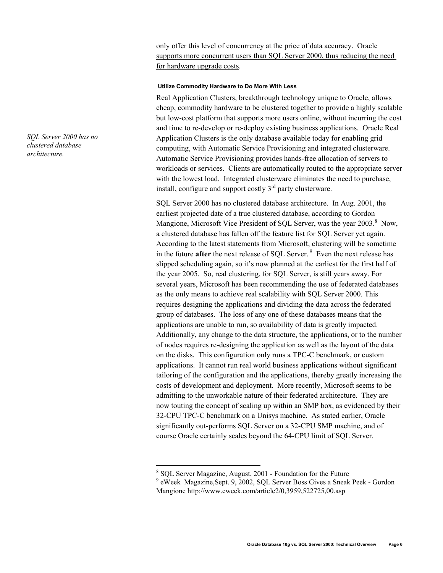only offer this level of concurrency at the price of data accuracy. Oracle supports more concurrent users than SQL Server 2000, thus reducing the need for hardware upgrade costs.

## **Utilize Commodity Hardware to Do More With Less**

Real Application Clusters, breakthrough technology unique to Oracle, allows cheap, commodity hardware to be clustered together to provide a highly scalable but low-cost platform that supports more users online, without incurring the cost and time to re-develop or re-deploy existing business applications. Oracle Real Application Clusters is the only database available today for enabling grid computing, with Automatic Service Provisioning and integrated clusterware. Automatic Service Provisioning provides hands-free allocation of servers to workloads or services. Clients are automatically routed to the appropriate server with the lowest load. Integrated clusterware eliminates the need to purchase, install, configure and support costly  $3<sup>rd</sup>$  party clusterware.

SQL Server 2000 has no clustered database architecture. In Aug. 2001, the earliest projected date of a true clustered database, according to Gordon Mangione, Microsoft Vice President of SQL Server, was the year 2003.<sup>8</sup> Now, a clustered database has fallen off the feature list for SQL Server yet again. According to the latest statements from Microsoft, clustering will be sometime in the future **after** the next release of SQL Server. 9 Even the next release has slipped scheduling again, so it's now planned at the earliest for the first half of the year 2005. So, real clustering, for SQL Server, is still years away. For several years, Microsoft has been recommending the use of federated databases as the only means to achieve real scalability with SQL Server 2000. This requires designing the applications and dividing the data across the federated group of databases. The loss of any one of these databases means that the applications are unable to run, so availability of data is greatly impacted. Additionally, any change to the data structure, the applications, or to the number of nodes requires re-designing the application as well as the layout of the data on the disks. This configuration only runs a TPC-C benchmark, or custom applications. It cannot run real world business applications without significant tailoring of the configuration and the applications, thereby greatly increasing the costs of development and deployment. More recently, Microsoft seems to be admitting to the unworkable nature of their federated architecture. They are now touting the concept of scaling up within an SMP box, as evidenced by their 32-CPU TPC-C benchmark on a Unisys machine. As stated earlier, Oracle significantly out-performs SQL Server on a 32-CPU SMP machine, and of course Oracle certainly scales beyond the 64-CPU limit of SQL Server.

 $\overline{a}$ 

*SQL Server 2000 has no clustered database architecture.* 

<sup>&</sup>lt;sup>8</sup> SQL Server Magazine, August, 2001 - Foundation for the Future

<sup>9</sup> eWeek Magazine,Sept. 9, 2002, SQL Server Boss Gives a Sneak Peek - Gordon Mangione http://www.eweek.com/article2/0,3959,522725,00.asp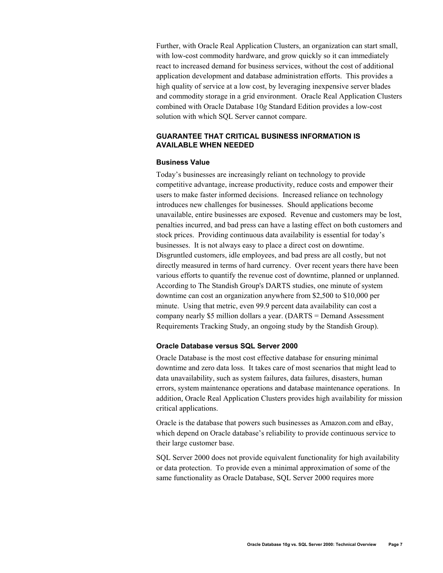Further, with Oracle Real Application Clusters, an organization can start small, with low-cost commodity hardware, and grow quickly so it can immediately react to increased demand for business services, without the cost of additional application development and database administration efforts. This provides a high quality of service at a low cost, by leveraging inexpensive server blades and commodity storage in a grid environment. Oracle Real Application Clusters combined with Oracle Database 10*g* Standard Edition provides a low-cost solution with which SQL Server cannot compare.

# **GUARANTEE THAT CRITICAL BUSINESS INFORMATION IS AVAILABLE WHEN NEEDED**

## **Business Value**

Today's businesses are increasingly reliant on technology to provide competitive advantage, increase productivity, reduce costs and empower their users to make faster informed decisions. Increased reliance on technology introduces new challenges for businesses. Should applications become unavailable, entire businesses are exposed. Revenue and customers may be lost, penalties incurred, and bad press can have a lasting effect on both customers and stock prices. Providing continuous data availability is essential for today's businesses. It is not always easy to place a direct cost on downtime. Disgruntled customers, idle employees, and bad press are all costly, but not directly measured in terms of hard currency. Over recent years there have been various efforts to quantify the revenue cost of downtime, planned or unplanned. According to The Standish Group's DARTS studies, one minute of system downtime can cost an organization anywhere from \$2,500 to \$10,000 per minute. Using that metric, even 99.9 percent data availability can cost a company nearly \$5 million dollars a year. (DARTS = Demand Assessment Requirements Tracking Study, an ongoing study by the Standish Group).

## **Oracle Database versus SQL Server 2000**

Oracle Database is the most cost effective database for ensuring minimal downtime and zero data loss. It takes care of most scenarios that might lead to data unavailability, such as system failures, data failures, disasters, human errors, system maintenance operations and database maintenance operations. In addition, Oracle Real Application Clusters provides high availability for mission critical applications.

Oracle is the database that powers such businesses as Amazon.com and eBay, which depend on Oracle database's reliability to provide continuous service to their large customer base.

SQL Server 2000 does not provide equivalent functionality for high availability or data protection. To provide even a minimal approximation of some of the same functionality as Oracle Database, SQL Server 2000 requires more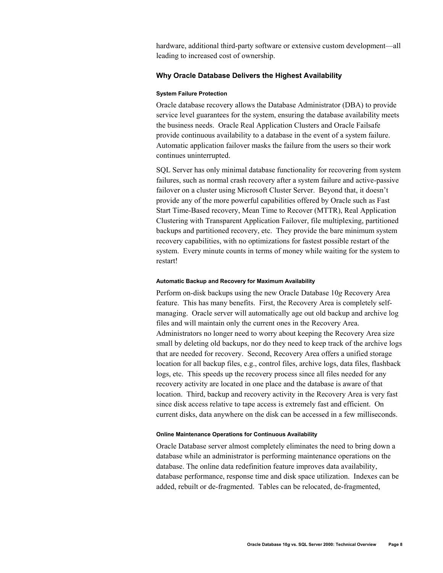hardware, additional third-party software or extensive custom development—all leading to increased cost of ownership.

# **Why Oracle Database Delivers the Highest Availability**

#### **System Failure Protection**

Oracle database recovery allows the Database Administrator (DBA) to provide service level guarantees for the system, ensuring the database availability meets the business needs. Oracle Real Application Clusters and Oracle Failsafe provide continuous availability to a database in the event of a system failure. Automatic application failover masks the failure from the users so their work continues uninterrupted.

SQL Server has only minimal database functionality for recovering from system failures, such as normal crash recovery after a system failure and active-passive failover on a cluster using Microsoft Cluster Server. Beyond that, it doesn't provide any of the more powerful capabilities offered by Oracle such as Fast Start Time-Based recovery, Mean Time to Recover (MTTR), Real Application Clustering with Transparent Application Failover, file multiplexing, partitioned backups and partitioned recovery, etc. They provide the bare minimum system recovery capabilities, with no optimizations for fastest possible restart of the system. Every minute counts in terms of money while waiting for the system to restart!

#### **Automatic Backup and Recovery for Maximum Availability**

Perform on-disk backups using the new Oracle Database 10*g* Recovery Area feature. This has many benefits. First, the Recovery Area is completely selfmanaging. Oracle server will automatically age out old backup and archive log files and will maintain only the current ones in the Recovery Area. Administrators no longer need to worry about keeping the Recovery Area size small by deleting old backups, nor do they need to keep track of the archive logs that are needed for recovery. Second, Recovery Area offers a unified storage location for all backup files, e.g., control files, archive logs, data files, flashback logs, etc. This speeds up the recovery process since all files needed for any recovery activity are located in one place and the database is aware of that location. Third, backup and recovery activity in the Recovery Area is very fast since disk access relative to tape access is extremely fast and efficient. On current disks, data anywhere on the disk can be accessed in a few milliseconds.

#### **Online Maintenance Operations for Continuous Availability**

Oracle Database server almost completely eliminates the need to bring down a database while an administrator is performing maintenance operations on the database. The online data redefinition feature improves data availability, database performance, response time and disk space utilization. Indexes can be added, rebuilt or de-fragmented. Tables can be relocated, de-fragmented,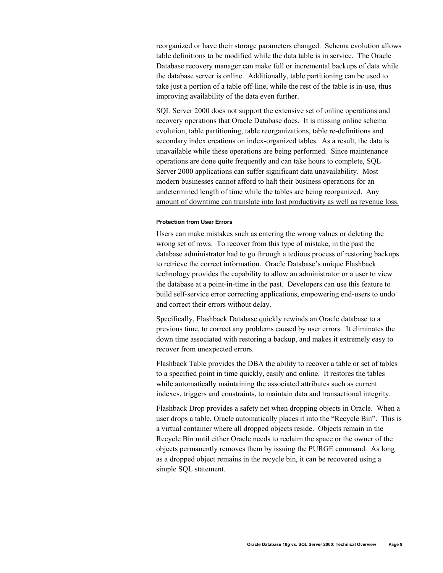reorganized or have their storage parameters changed. Schema evolution allows table definitions to be modified while the data table is in service. The Oracle Database recovery manager can make full or incremental backups of data while the database server is online. Additionally, table partitioning can be used to take just a portion of a table off-line, while the rest of the table is in-use, thus improving availability of the data even further.

SQL Server 2000 does not support the extensive set of online operations and recovery operations that Oracle Database does. It is missing online schema evolution, table partitioning, table reorganizations, table re-definitions and secondary index creations on index-organized tables. As a result, the data is unavailable while these operations are being performed. Since maintenance operations are done quite frequently and can take hours to complete, SQL Server 2000 applications can suffer significant data unavailability. Most modern businesses cannot afford to halt their business operations for an undetermined length of time while the tables are being reorganized. Any amount of downtime can translate into lost productivity as well as revenue loss.

#### **Protection from User Errors**

Users can make mistakes such as entering the wrong values or deleting the wrong set of rows. To recover from this type of mistake, in the past the database administrator had to go through a tedious process of restoring backups to retrieve the correct information. Oracle Database's unique Flashback technology provides the capability to allow an administrator or a user to view the database at a point-in-time in the past. Developers can use this feature to build self-service error correcting applications, empowering end-users to undo and correct their errors without delay.

Specifically, Flashback Database quickly rewinds an Oracle database to a previous time, to correct any problems caused by user errors. It eliminates the down time associated with restoring a backup, and makes it extremely easy to recover from unexpected errors.

Flashback Table provides the DBA the ability to recover a table or set of tables to a specified point in time quickly, easily and online. It restores the tables while automatically maintaining the associated attributes such as current indexes, triggers and constraints, to maintain data and transactional integrity.

Flashback Drop provides a safety net when dropping objects in Oracle. When a user drops a table, Oracle automatically places it into the "Recycle Bin". This is a virtual container where all dropped objects reside. Objects remain in the Recycle Bin until either Oracle needs to reclaim the space or the owner of the objects permanently removes them by issuing the PURGE command. As long as a dropped object remains in the recycle bin, it can be recovered using a simple SQL statement.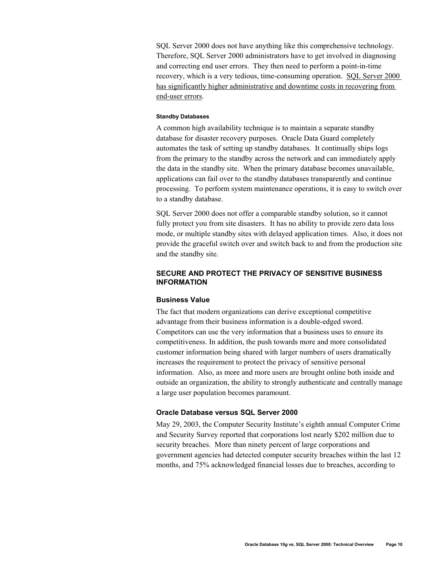SQL Server 2000 does not have anything like this comprehensive technology. Therefore, SQL Server 2000 administrators have to get involved in diagnosing and correcting end user errors. They then need to perform a point-in-time recovery, which is a very tedious, time-consuming operation. SQL Server 2000 has significantly higher administrative and downtime costs in recovering from end-user errors.

## **Standby Databases**

A common high availability technique is to maintain a separate standby database for disaster recovery purposes. Oracle Data Guard completely automates the task of setting up standby databases. It continually ships logs from the primary to the standby across the network and can immediately apply the data in the standby site. When the primary database becomes unavailable, applications can fail over to the standby databases transparently and continue processing. To perform system maintenance operations, it is easy to switch over to a standby database.

SQL Server 2000 does not offer a comparable standby solution, so it cannot fully protect you from site disasters. It has no ability to provide zero data loss mode, or multiple standby sites with delayed application times. Also, it does not provide the graceful switch over and switch back to and from the production site and the standby site.

# **SECURE AND PROTECT THE PRIVACY OF SENSITIVE BUSINESS INFORMATION**

## **Business Value**

The fact that modern organizations can derive exceptional competitive advantage from their business information is a double-edged sword. Competitors can use the very information that a business uses to ensure its competitiveness. In addition, the push towards more and more consolidated customer information being shared with larger numbers of users dramatically increases the requirement to protect the privacy of sensitive personal information. Also, as more and more users are brought online both inside and outside an organization, the ability to strongly authenticate and centrally manage a large user population becomes paramount.

## **Oracle Database versus SQL Server 2000**

May 29, 2003, the Computer Security Institute's eighth annual Computer Crime and Security Survey reported that corporations lost nearly \$202 million due to security breaches. More than ninety percent of large corporations and government agencies had detected computer security breaches within the last 12 months, and 75% acknowledged financial losses due to breaches, according to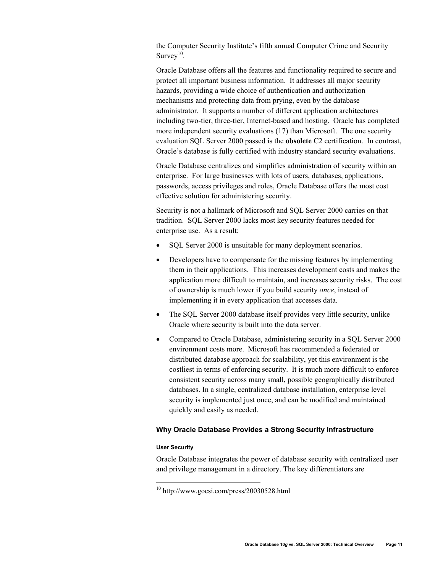the Computer Security Institute's fifth annual Computer Crime and Security Survey $10$ .

Oracle Database offers all the features and functionality required to secure and protect all important business information. It addresses all major security hazards, providing a wide choice of authentication and authorization mechanisms and protecting data from prying, even by the database administrator. It supports a number of different application architectures including two-tier, three-tier, Internet-based and hosting. Oracle has completed more independent security evaluations (17) than Microsoft. The one security evaluation SQL Server 2000 passed is the **obsolete** C2 certification. In contrast, Oracle's database is fully certified with industry standard security evaluations.

Oracle Database centralizes and simplifies administration of security within an enterprise. For large businesses with lots of users, databases, applications, passwords, access privileges and roles, Oracle Database offers the most cost effective solution for administering security.

Security is not a hallmark of Microsoft and SQL Server 2000 carries on that tradition. SQL Server 2000 lacks most key security features needed for enterprise use. As a result:

- SOL Server 2000 is unsuitable for many deployment scenarios.
- Developers have to compensate for the missing features by implementing them in their applications. This increases development costs and makes the application more difficult to maintain, and increases security risks. The cost of ownership is much lower if you build security *once*, instead of implementing it in every application that accesses data.
- The SQL Server 2000 database itself provides very little security, unlike Oracle where security is built into the data server.
- Compared to Oracle Database, administering security in a SOL Server 2000 environment costs more. Microsoft has recommended a federated or distributed database approach for scalability, yet this environment is the costliest in terms of enforcing security. It is much more difficult to enforce consistent security across many small, possible geographically distributed databases. In a single, centralized database installation, enterprise level security is implemented just once, and can be modified and maintained quickly and easily as needed.

# **Why Oracle Database Provides a Strong Security Infrastructure**

#### **User Security**

 $\overline{a}$ 

Oracle Database integrates the power of database security with centralized user and privilege management in a directory. The key differentiators are

 $10$  http://www.gocsi.com/press/20030528.html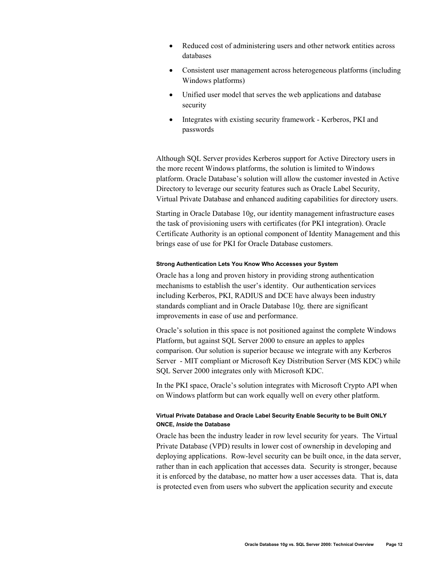- Reduced cost of administering users and other network entities across databases
- Consistent user management across heterogeneous platforms (including Windows platforms)
- Unified user model that serves the web applications and database security
- Integrates with existing security framework Kerberos, PKI and passwords

Although SQL Server provides Kerberos support for Active Directory users in the more recent Windows platforms, the solution is limited to Windows platform. Oracle Database's solution will allow the customer invested in Active Directory to leverage our security features such as Oracle Label Security, Virtual Private Database and enhanced auditing capabilities for directory users.

Starting in Oracle Database 10*g*, our identity management infrastructure eases the task of provisioning users with certificates (for PKI integration). Oracle Certificate Authority is an optional component of Identity Management and this brings ease of use for PKI for Oracle Database customers.

#### **Strong Authentication Lets You Know Who Accesses your System**

Oracle has a long and proven history in providing strong authentication mechanisms to establish the user's identity. Our authentication services including Kerberos, PKI, RADIUS and DCE have always been industry standards compliant and in Oracle Database 10*g,* there are significant improvements in ease of use and performance.

Oracle's solution in this space is not positioned against the complete Windows Platform, but against SQL Server 2000 to ensure an apples to apples comparison. Our solution is superior because we integrate with any Kerberos Server - MIT compliant or Microsoft Key Distribution Server (MS KDC) while SQL Server 2000 integrates only with Microsoft KDC.

In the PKI space, Oracle's solution integrates with Microsoft Crypto API when on Windows platform but can work equally well on every other platform.

## **Virtual Private Database and Oracle Label Security Enable Security to be Built ONLY ONCE,** *Inside* **the Database**

Oracle has been the industry leader in row level security for years. The Virtual Private Database (VPD) results in lower cost of ownership in developing and deploying applications. Row-level security can be built once, in the data server, rather than in each application that accesses data. Security is stronger, because it is enforced by the database, no matter how a user accesses data. That is, data is protected even from users who subvert the application security and execute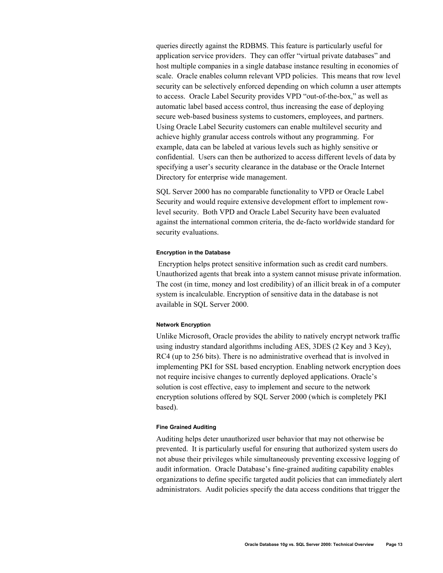queries directly against the RDBMS. This feature is particularly useful for application service providers. They can offer "virtual private databases" and host multiple companies in a single database instance resulting in economies of scale. Oracle enables column relevant VPD policies. This means that row level security can be selectively enforced depending on which column a user attempts to access. Oracle Label Security provides VPD "out-of-the-box," as well as automatic label based access control, thus increasing the ease of deploying secure web-based business systems to customers, employees, and partners. Using Oracle Label Security customers can enable multilevel security and achieve highly granular access controls without any programming. For example, data can be labeled at various levels such as highly sensitive or confidential. Users can then be authorized to access different levels of data by specifying a user's security clearance in the database or the Oracle Internet Directory for enterprise wide management.

SQL Server 2000 has no comparable functionality to VPD or Oracle Label Security and would require extensive development effort to implement rowlevel security. Both VPD and Oracle Label Security have been evaluated against the international common criteria, the de-facto worldwide standard for security evaluations.

#### **Encryption in the Database**

 Encryption helps protect sensitive information such as credit card numbers. Unauthorized agents that break into a system cannot misuse private information. The cost (in time, money and lost credibility) of an illicit break in of a computer system is incalculable. Encryption of sensitive data in the database is not available in SQL Server 2000.

#### **Network Encryption**

Unlike Microsoft, Oracle provides the ability to natively encrypt network traffic using industry standard algorithms including AES, 3DES (2 Key and 3 Key), RC4 (up to 256 bits). There is no administrative overhead that is involved in implementing PKI for SSL based encryption. Enabling network encryption does not require incisive changes to currently deployed applications. Oracle's solution is cost effective, easy to implement and secure to the network encryption solutions offered by SQL Server 2000 (which is completely PKI based).

## **Fine Grained Auditing**

Auditing helps deter unauthorized user behavior that may not otherwise be prevented. It is particularly useful for ensuring that authorized system users do not abuse their privileges while simultaneously preventing excessive logging of audit information. Oracle Database's fine-grained auditing capability enables organizations to define specific targeted audit policies that can immediately alert administrators. Audit policies specify the data access conditions that trigger the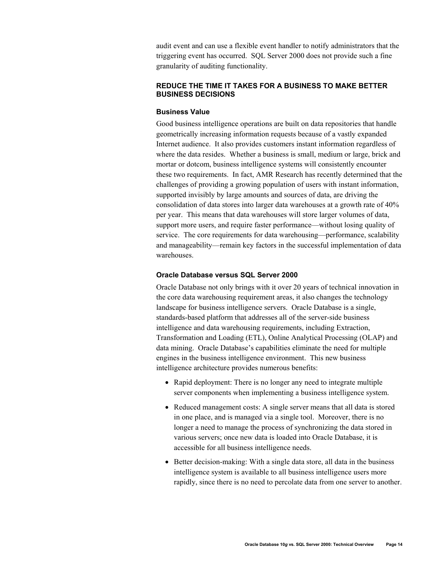audit event and can use a flexible event handler to notify administrators that the triggering event has occurred. SQL Server 2000 does not provide such a fine granularity of auditing functionality.

# **REDUCE THE TIME IT TAKES FOR A BUSINESS TO MAKE BETTER BUSINESS DECISIONS**

# **Business Value**

Good business intelligence operations are built on data repositories that handle geometrically increasing information requests because of a vastly expanded Internet audience. It also provides customers instant information regardless of where the data resides. Whether a business is small, medium or large, brick and mortar or dotcom, business intelligence systems will consistently encounter these two requirements. In fact, AMR Research has recently determined that the challenges of providing a growing population of users with instant information, supported invisibly by large amounts and sources of data, are driving the consolidation of data stores into larger data warehouses at a growth rate of 40% per year. This means that data warehouses will store larger volumes of data, support more users, and require faster performance—without losing quality of service. The core requirements for data warehousing—performance, scalability and manageability—remain key factors in the successful implementation of data warehouses.

## **Oracle Database versus SQL Server 2000**

Oracle Database not only brings with it over 20 years of technical innovation in the core data warehousing requirement areas, it also changes the technology landscape for business intelligence servers. Oracle Database is a single, standards-based platform that addresses all of the server-side business intelligence and data warehousing requirements, including Extraction, Transformation and Loading (ETL), Online Analytical Processing (OLAP) and data mining. Oracle Database's capabilities eliminate the need for multiple engines in the business intelligence environment. This new business intelligence architecture provides numerous benefits:

- Rapid deployment: There is no longer any need to integrate multiple server components when implementing a business intelligence system.
- Reduced management costs: A single server means that all data is stored in one place, and is managed via a single tool. Moreover, there is no longer a need to manage the process of synchronizing the data stored in various servers; once new data is loaded into Oracle Database, it is accessible for all business intelligence needs.
- Better decision-making: With a single data store, all data in the business intelligence system is available to all business intelligence users more rapidly, since there is no need to percolate data from one server to another.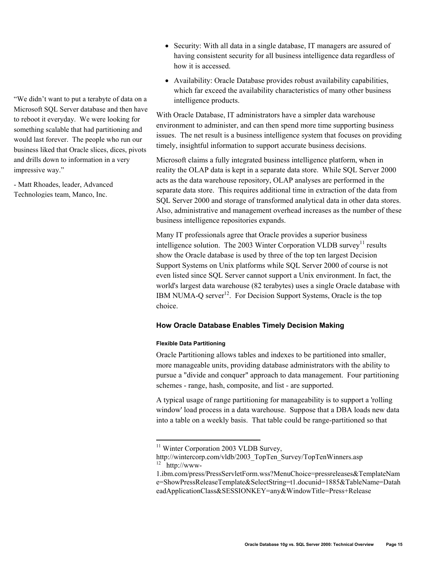- Security: With all data in a single database, IT managers are assured of having consistent security for all business intelligence data regardless of how it is accessed.
- Availability: Oracle Database provides robust availability capabilities, which far exceed the availability characteristics of many other business intelligence products.

With Oracle Database, IT administrators have a simpler data warehouse environment to administer, and can then spend more time supporting business issues. The net result is a business intelligence system that focuses on providing timely, insightful information to support accurate business decisions.

Microsoft claims a fully integrated business intelligence platform, when in reality the OLAP data is kept in a separate data store. While SQL Server 2000 acts as the data warehouse repository, OLAP analyses are performed in the separate data store. This requires additional time in extraction of the data from SQL Server 2000 and storage of transformed analytical data in other data stores. Also, administrative and management overhead increases as the number of these business intelligence repositories expands.

Many IT professionals agree that Oracle provides a superior business intelligence solution. The 2003 Winter Corporation VLDB survey<sup>11</sup> results show the Oracle database is used by three of the top ten largest Decision Support Systems on Unix platforms while SQL Server 2000 of course is not even listed since SQL Server cannot support a Unix environment. In fact, the world's largest data warehouse (82 terabytes) uses a single Oracle database with IBM NUMA-O server $12$ . For Decision Support Systems, Oracle is the top choice.

## **How Oracle Database Enables Timely Decision Making**

## **Flexible Data Partitioning**

 $\overline{a}$ 

Oracle Partitioning allows tables and indexes to be partitioned into smaller, more manageable units, providing database administrators with the ability to pursue a "divide and conquer" approach to data management. Four partitioning schemes - range, hash, composite, and list - are supported.

A typical usage of range partitioning for manageability is to support a 'rolling window' load process in a data warehouse. Suppose that a DBA loads new data into a table on a weekly basis. That table could be range-partitioned so that

"We didn't want to put a terabyte of data on a Microsoft SQL Server database and then have to reboot it everyday. We were looking for something scalable that had partitioning and would last forever. The people who run our business liked that Oracle slices, dices, pivots and drills down to information in a very impressive way."

- Matt Rhoades, leader, Advanced Technologies team, Manco, Inc.

<sup>&</sup>lt;sup>11</sup> Winter Corporation 2003 VLDB Survey,

http://wintercorp.com/vldb/2003\_TopTen\_Survey/TopTenWinners.asp 12 http://www-

<sup>1.</sup>ibm.com/press/PressServletForm.wss?MenuChoice=pressreleases&TemplateNam e=ShowPressReleaseTemplate&SelectString=t1.docunid=1885&TableName=Datah eadApplicationClass&SESSIONKEY=any&WindowTitle=Press+Release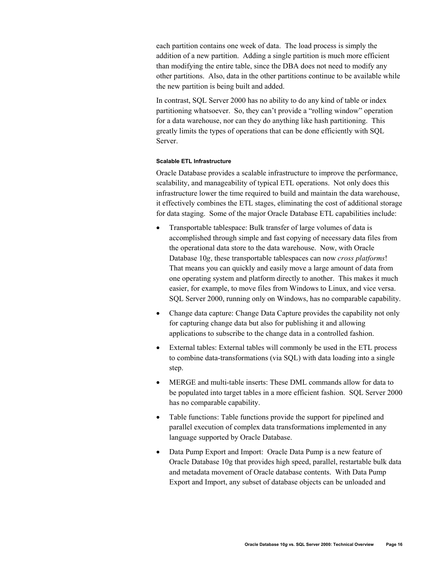each partition contains one week of data. The load process is simply the addition of a new partition. Adding a single partition is much more efficient than modifying the entire table, since the DBA does not need to modify any other partitions. Also, data in the other partitions continue to be available while the new partition is being built and added.

In contrast, SQL Server 2000 has no ability to do any kind of table or index partitioning whatsoever. So, they can't provide a "rolling window" operation for a data warehouse, nor can they do anything like hash partitioning. This greatly limits the types of operations that can be done efficiently with SQL Server.

## **Scalable ETL Infrastructure**

Oracle Database provides a scalable infrastructure to improve the performance, scalability, and manageability of typical ETL operations. Not only does this infrastructure lower the time required to build and maintain the data warehouse, it effectively combines the ETL stages, eliminating the cost of additional storage for data staging. Some of the major Oracle Database ETL capabilities include:

- Transportable tablespace: Bulk transfer of large volumes of data is accomplished through simple and fast copying of necessary data files from the operational data store to the data warehouse. Now, with Oracle Database 10*g*, these transportable tablespaces can now *cross platforms*! That means you can quickly and easily move a large amount of data from one operating system and platform directly to another. This makes it much easier, for example, to move files from Windows to Linux, and vice versa. SQL Server 2000, running only on Windows, has no comparable capability.
- Change data capture: Change Data Capture provides the capability not only for capturing change data but also for publishing it and allowing applications to subscribe to the change data in a controlled fashion.
- External tables: External tables will commonly be used in the ETL process to combine data-transformations (via SQL) with data loading into a single step.
- MERGE and multi-table inserts: These DML commands allow for data to be populated into target tables in a more efficient fashion. SQL Server 2000 has no comparable capability.
- Table functions: Table functions provide the support for pipelined and parallel execution of complex data transformations implemented in any language supported by Oracle Database.
- Data Pump Export and Import: Oracle Data Pump is a new feature of Oracle Database 10g that provides high speed, parallel, restartable bulk data and metadata movement of Oracle database contents. With Data Pump Export and Import, any subset of database objects can be unloaded and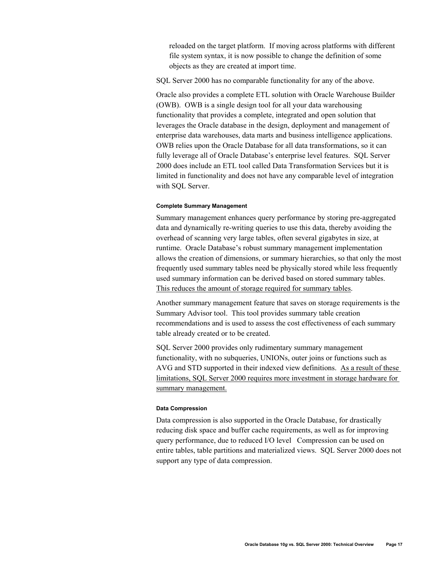reloaded on the target platform. If moving across platforms with different file system syntax, it is now possible to change the definition of some objects as they are created at import time.

SQL Server 2000 has no comparable functionality for any of the above.

Oracle also provides a complete ETL solution with Oracle Warehouse Builder (OWB). OWB is a single design tool for all your data warehousing functionality that provides a complete, integrated and open solution that leverages the Oracle database in the design, deployment and management of enterprise data warehouses, data marts and business intelligence applications. OWB relies upon the Oracle Database for all data transformations, so it can fully leverage all of Oracle Database's enterprise level features. SQL Server 2000 does include an ETL tool called Data Transformation Services but it is limited in functionality and does not have any comparable level of integration with SQL Server.

#### **Complete Summary Management**

Summary management enhances query performance by storing pre-aggregated data and dynamically re-writing queries to use this data, thereby avoiding the overhead of scanning very large tables, often several gigabytes in size, at runtime. Oracle Database's robust summary management implementation allows the creation of dimensions, or summary hierarchies, so that only the most frequently used summary tables need be physically stored while less frequently used summary information can be derived based on stored summary tables. This reduces the amount of storage required for summary tables.

Another summary management feature that saves on storage requirements is the Summary Advisor tool. This tool provides summary table creation recommendations and is used to assess the cost effectiveness of each summary table already created or to be created.

SQL Server 2000 provides only rudimentary summary management functionality, with no subqueries, UNIONs, outer joins or functions such as AVG and STD supported in their indexed view definitions. As a result of these limitations, SQL Server 2000 requires more investment in storage hardware for summary management.

#### **Data Compression**

Data compression is also supported in the Oracle Database, for drastically reducing disk space and buffer cache requirements, as well as for improving query performance, due to reduced I/O level Compression can be used on entire tables, table partitions and materialized views. SQL Server 2000 does not support any type of data compression.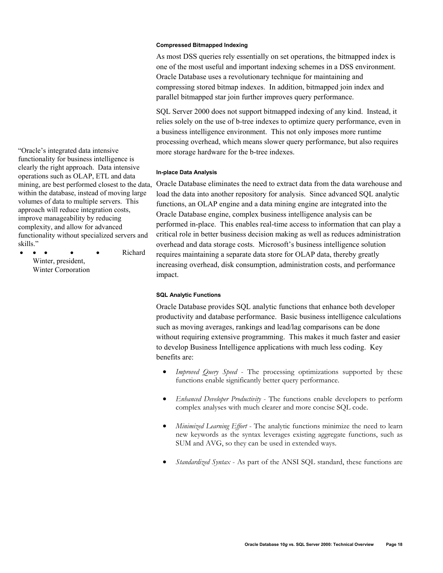**Compressed Bitmapped Indexing** 

As most DSS queries rely essentially on set operations, the bitmapped index is one of the most useful and important indexing schemes in a DSS environment. Oracle Database uses a revolutionary technique for maintaining and compressing stored bitmap indexes. In addition, bitmapped join index and parallel bitmapped star join further improves query performance.

SQL Server 2000 does not support bitmapped indexing of any kind. Instead, it relies solely on the use of b-tree indexes to optimize query performance, even in a business intelligence environment. This not only imposes more runtime processing overhead, which means slower query performance, but also requires more storage hardware for the b-tree indexes.

## **In-place Data Analysis**

Oracle Database eliminates the need to extract data from the data warehouse and load the data into another repository for analysis. Since advanced SQL analytic functions, an OLAP engine and a data mining engine are integrated into the Oracle Database engine, complex business intelligence analysis can be performed in-place. This enables real-time access to information that can play a critical role in better business decision making as well as reduces administration overhead and data storage costs. Microsoft's business intelligence solution requires maintaining a separate data store for OLAP data, thereby greatly increasing overhead, disk consumption, administration costs, and performance impact.

## **SQL Analytic Functions**

Oracle Database provides SQL analytic functions that enhance both developer productivity and database performance. Basic business intelligence calculations such as moving averages, rankings and lead/lag comparisons can be done without requiring extensive programming. This makes it much faster and easier to develop Business Intelligence applications with much less coding. Key benefits are:

- *Improved Query Speed* The processing optimizations supported by these functions enable significantly better query performance.
- *Enhanced Developer Productivity* The functions enable developers to perform complex analyses with much clearer and more concise SQL code.
- *Minimized Learning Effort* The analytic functions minimize the need to learn new keywords as the syntax leverages existing aggregate functions, such as SUM and AVG, so they can be used in extended ways.
- *Standardized Syntax* As part of the ANSI SQL standard, these functions are

"Oracle's integrated data intensive functionality for business intelligence is clearly the right approach. Data intensive operations such as OLAP, ETL and data mining, are best performed closest to the data, within the database, instead of moving large volumes of data to multiple servers. This approach will reduce integration costs, improve manageability by reducing complexity, and allow for advanced functionality without specialized servers and skills."

• • • • • Richard

Winter, president, Winter Corporation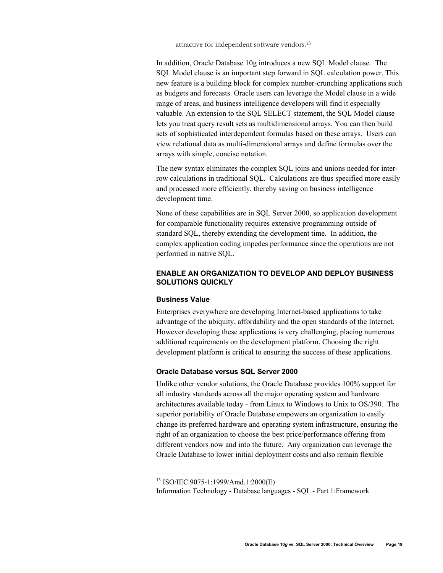attractive for independent software vendors.13

In addition, Oracle Database 10g introduces a new SQL Model clause. The SQL Model clause is an important step forward in SQL calculation power. This new feature is a building block for complex number-crunching applications such as budgets and forecasts. Oracle users can leverage the Model clause in a wide range of areas, and business intelligence developers will find it especially valuable. An extension to the SQL SELECT statement, the SQL Model clause lets you treat query result sets as multidimensional arrays. You can then build sets of sophisticated interdependent formulas based on these arrays. Users can view relational data as multi-dimensional arrays and define formulas over the arrays with simple, concise notation.

The new syntax eliminates the complex SQL joins and unions needed for interrow calculations in traditional SQL. Calculations are thus specified more easily and processed more efficiently, thereby saving on business intelligence development time.

None of these capabilities are in SQL Server 2000, so application development for comparable functionality requires extensive programming outside of standard SQL, thereby extending the development time. In addition, the complex application coding impedes performance since the operations are not performed in native SQL.

# **ENABLE AN ORGANIZATION TO DEVELOP AND DEPLOY BUSINESS SOLUTIONS QUICKLY**

## **Business Value**

 $\overline{a}$ 

Enterprises everywhere are developing Internet-based applications to take advantage of the ubiquity, affordability and the open standards of the Internet. However developing these applications is very challenging, placing numerous additional requirements on the development platform. Choosing the right development platform is critical to ensuring the success of these applications.

# **Oracle Database versus SQL Server 2000**

Unlike other vendor solutions, the Oracle Database provides 100% support for all industry standards across all the major operating system and hardware architectures available today - from Linux to Windows to Unix to OS/390. The superior portability of Oracle Database empowers an organization to easily change its preferred hardware and operating system infrastructure, ensuring the right of an organization to choose the best price/performance offering from different vendors now and into the future. Any organization can leverage the Oracle Database to lower initial deployment costs and also remain flexible

<sup>13</sup> ISO/IEC 9075-1:1999/Amd.1:2000(E)

Information Technology - Database languages - SQL - Part 1:Framework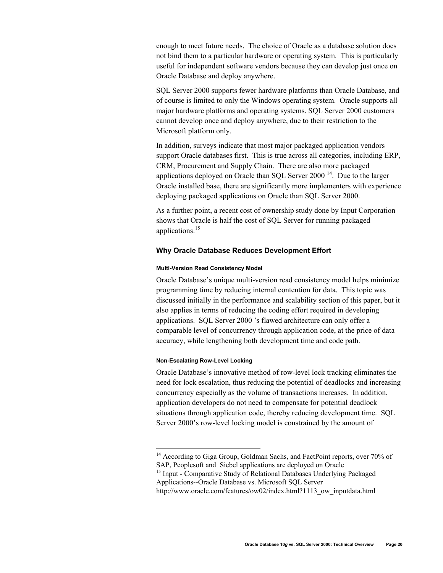enough to meet future needs. The choice of Oracle as a database solution does not bind them to a particular hardware or operating system. This is particularly useful for independent software vendors because they can develop just once on Oracle Database and deploy anywhere.

SQL Server 2000 supports fewer hardware platforms than Oracle Database, and of course is limited to only the Windows operating system. Oracle supports all major hardware platforms and operating systems. SQL Server 2000 customers cannot develop once and deploy anywhere, due to their restriction to the Microsoft platform only.

In addition, surveys indicate that most major packaged application vendors support Oracle databases first. This is true across all categories, including ERP, CRM, Procurement and Supply Chain. There are also more packaged applications deployed on Oracle than SQL Server  $2000<sup>14</sup>$ . Due to the larger Oracle installed base, there are significantly more implementers with experience deploying packaged applications on Oracle than SQL Server 2000.

As a further point, a recent cost of ownership study done by Input Corporation shows that Oracle is half the cost of SQL Server for running packaged applications.<sup>15</sup>

## **Why Oracle Database Reduces Development Effort**

#### **Multi-Version Read Consistency Model**

Oracle Database's unique multi-version read consistency model helps minimize programming time by reducing internal contention for data. This topic was discussed initially in the performance and scalability section of this paper, but it also applies in terms of reducing the coding effort required in developing applications. SQL Server 2000 's flawed architecture can only offer a comparable level of concurrency through application code, at the price of data accuracy, while lengthening both development time and code path.

## **Non-Escalating Row-Level Locking**

 $\overline{a}$ 

Oracle Database's innovative method of row-level lock tracking eliminates the need for lock escalation, thus reducing the potential of deadlocks and increasing concurrency especially as the volume of transactions increases. In addition, application developers do not need to compensate for potential deadlock situations through application code, thereby reducing development time. SQL Server 2000's row-level locking model is constrained by the amount of

<sup>15</sup> Input - Comparative Study of Relational Databases Underlying Packaged Applications--Oracle Database vs. Microsoft SQL Server

<sup>&</sup>lt;sup>14</sup> According to Giga Group, Goldman Sachs, and FactPoint reports, over 70% of SAP, Peoplesoft and Siebel applications are deployed on Oracle

http://www.oracle.com/features/ow02/index.html?1113\_ow\_inputdata.html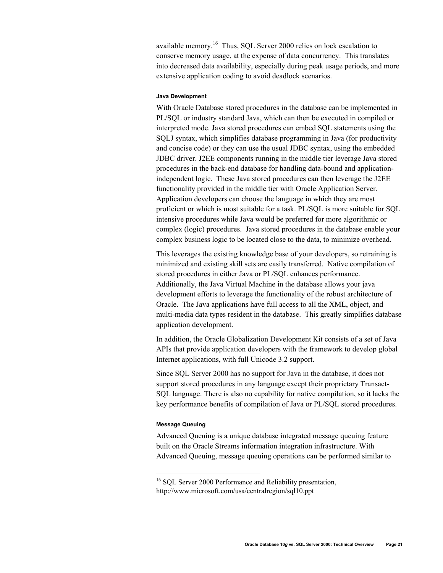available memory.16 Thus, SQL Server 2000 relies on lock escalation to conserve memory usage, at the expense of data concurrency. This translates into decreased data availability, especially during peak usage periods, and more extensive application coding to avoid deadlock scenarios.

## **Java Development**

With Oracle Database stored procedures in the database can be implemented in PL/SQL or industry standard Java, which can then be executed in compiled or interpreted mode. Java stored procedures can embed SQL statements using the SQLJ syntax, which simplifies database programming in Java (for productivity and concise code) or they can use the usual JDBC syntax, using the embedded JDBC driver. J2EE components running in the middle tier leverage Java stored procedures in the back-end database for handling data-bound and applicationindependent logic. These Java stored procedures can then leverage the J2EE functionality provided in the middle tier with Oracle Application Server. Application developers can choose the language in which they are most proficient or which is most suitable for a task. PL/SQL is more suitable for SQL intensive procedures while Java would be preferred for more algorithmic or complex (logic) procedures. Java stored procedures in the database enable your complex business logic to be located close to the data, to minimize overhead.

This leverages the existing knowledge base of your developers, so retraining is minimized and existing skill sets are easily transferred. Native compilation of stored procedures in either Java or PL/SQL enhances performance. Additionally, the Java Virtual Machine in the database allows your java development efforts to leverage the functionality of the robust architecture of Oracle. The Java applications have full access to all the XML, object, and multi-media data types resident in the database. This greatly simplifies database application development.

In addition, the Oracle Globalization Development Kit consists of a set of Java APIs that provide application developers with the framework to develop global Internet applications, with full Unicode 3.2 support.

Since SQL Server 2000 has no support for Java in the database, it does not support stored procedures in any language except their proprietary Transact-SQL language. There is also no capability for native compilation, so it lacks the key performance benefits of compilation of Java or PL/SQL stored procedures.

## **Message Queuing**

 $\overline{a}$ 

Advanced Queuing is a unique database integrated message queuing feature built on the Oracle Streams information integration infrastructure. With Advanced Queuing, message queuing operations can be performed similar to

<sup>&</sup>lt;sup>16</sup> SOL Server 2000 Performance and Reliability presentation, http://www.microsoft.com/usa/centralregion/sql10.ppt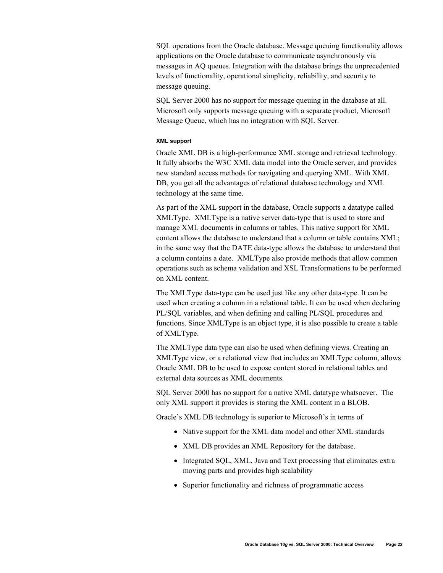SQL operations from the Oracle database. Message queuing functionality allows applications on the Oracle database to communicate asynchronously via messages in AQ queues. Integration with the database brings the unprecedented levels of functionality, operational simplicity, reliability, and security to message queuing.

SQL Server 2000 has no support for message queuing in the database at all. Microsoft only supports message queuing with a separate product, Microsoft Message Queue, which has no integration with SQL Server.

## **XML support**

Oracle XML DB is a high-performance XML storage and retrieval technology. It fully absorbs the W3C XML data model into the Oracle server, and provides new standard access methods for navigating and querying XML. With XML DB, you get all the advantages of relational database technology and XML technology at the same time.

As part of the XML support in the database, Oracle supports a datatype called XMLType. XMLType is a native server data-type that is used to store and manage XML documents in columns or tables. This native support for XML content allows the database to understand that a column or table contains XML; in the same way that the DATE data-type allows the database to understand that a column contains a date. XMLType also provide methods that allow common operations such as schema validation and XSL Transformations to be performed on XML content.

The XMLType data-type can be used just like any other data-type. It can be used when creating a column in a relational table. It can be used when declaring PL/SQL variables, and when defining and calling PL/SQL procedures and functions. Since XMLType is an object type, it is also possible to create a table of XMLType.

The XMLType data type can also be used when defining views. Creating an XMLType view, or a relational view that includes an XMLType column, allows Oracle XML DB to be used to expose content stored in relational tables and external data sources as XML documents.

SQL Server 2000 has no support for a native XML datatype whatsoever. The only XML support it provides is storing the XML content in a BLOB.

Oracle's XML DB technology is superior to Microsoft's in terms of

- Native support for the XML data model and other XML standards
- XML DB provides an XML Repository for the database.
- Integrated SOL, XML, Java and Text processing that eliminates extra moving parts and provides high scalability
- Superior functionality and richness of programmatic access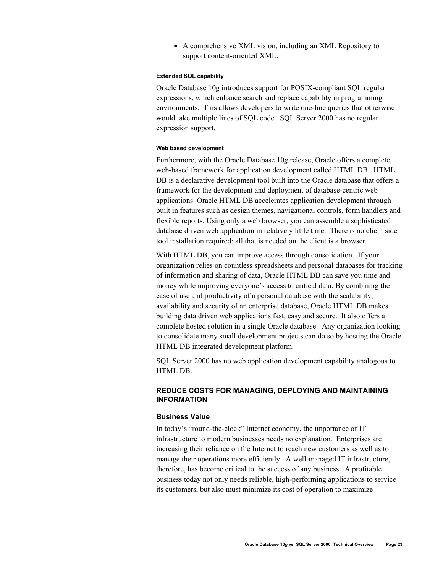• A comprehensive XML vision, including an XML Repository to support content-oriented XML.

### **Extended SQL capability**

Oracle Database 10*g* introduces support for POSIX-compliant SQL regular expressions, which enhance search and replace capability in programming environments. This allows developers to write one-line queries that otherwise would take multiple lines of SQL code. SQL Server 2000 has no regular expression support.

## **Web based development**

Furthermore, with the Oracle Database 10*g* release, Oracle offers a complete, web-based framework for application development called HTML DB. HTML DB is a declarative development tool built into the Oracle database that offers a framework for the development and deployment of database-centric web applications. Oracle HTML DB accelerates application development through built in features such as design themes, navigational controls, form handlers and flexible reports. Using only a web browser, you can assemble a sophisticated database driven web application in relatively little time. There is no client side tool installation required; all that is needed on the client is a browser.

With HTML DB, you can improve access through consolidation. If your organization relies on countless spreadsheets and personal databases for tracking of information and sharing of data, Oracle HTML DB can save you time and money while improving everyone's access to critical data. By combining the ease of use and productivity of a personal database with the scalability, availability and security of an enterprise database, Oracle HTML DB makes building data driven web applications fast, easy and secure. It also offers a complete hosted solution in a single Oracle database. Any organization looking to consolidate many small development projects can do so by hosting the Oracle HTML DB integrated development platform.

SQL Server 2000 has no web application development capability analogous to HTML DB.

# **REDUCE COSTS FOR MANAGING, DEPLOYING AND MAINTAINING INFORMATION**

## **Business Value**

In today's "round-the-clock" Internet economy, the importance of IT infrastructure to modern businesses needs no explanation. Enterprises are increasing their reliance on the Internet to reach new customers as well as to manage their operations more efficiently. A well-managed IT infrastructure, therefore, has become critical to the success of any business. A profitable business today not only needs reliable, high-performing applications to service its customers, but also must minimize its cost of operation to maximize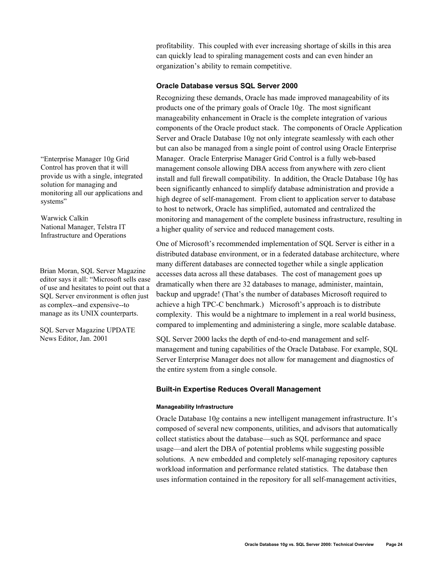profitability. This coupled with ever increasing shortage of skills in this area can quickly lead to spiraling management costs and can even hinder an organization's ability to remain competitive.

## **Oracle Database versus SQL Server 2000**

Recognizing these demands, Oracle has made improved manageability of its products one of the primary goals of Oracle 10*g*. The most significant manageability enhancement in Oracle is the complete integration of various components of the Oracle product stack. The components of Oracle Application Server and Oracle Database 10*g* not only integrate seamlessly with each other but can also be managed from a single point of control using Oracle Enterprise Manager. Oracle Enterprise Manager Grid Control is a fully web-based management console allowing DBA access from anywhere with zero client install and full firewall compatibility. In addition, the Oracle Database 10*g* has been significantly enhanced to simplify database administration and provide a high degree of self-management. From client to application server to database to host to network, Oracle has simplified, automated and centralized the monitoring and management of the complete business infrastructure, resulting in a higher quality of service and reduced management costs.

One of Microsoft's recommended implementation of SQL Server is either in a distributed database environment, or in a federated database architecture, where many different databases are connected together while a single application accesses data across all these databases. The cost of management goes up dramatically when there are 32 databases to manage, administer, maintain, backup and upgrade! (That's the number of databases Microsoft required to achieve a high TPC-C benchmark.) Microsoft's approach is to distribute complexity. This would be a nightmare to implement in a real world business, compared to implementing and administering a single, more scalable database.

SQL Server 2000 lacks the depth of end-to-end management and selfmanagement and tuning capabilities of the Oracle Database. For example, SQL Server Enterprise Manager does not allow for management and diagnostics of the entire system from a single console.

## **Built-in Expertise Reduces Overall Management**

## **Manageability Infrastructure**

Oracle Database 10*g* contains a new intelligent management infrastructure. It's composed of several new components, utilities, and advisors that automatically collect statistics about the database—such as SQL performance and space usage—and alert the DBA of potential problems while suggesting possible solutions. A new embedded and completely self-managing repository captures workload information and performance related statistics. The database then uses information contained in the repository for all self-management activities,

"Enterprise Manager 10g Grid Control has proven that it will provide us with a single, integrated solution for managing and monitoring all our applications and systems"

Warwick Calkin National Manager, Telstra IT Infrastructure and Operations

Brian Moran, SQL Server Magazine editor says it all: "Microsoft sells ease of use and hesitates to point out that a SQL Server environment is often just as complex--and expensive--to manage as its UNIX counterparts.

SQL Server Magazine UPDATE News Editor, Jan. 2001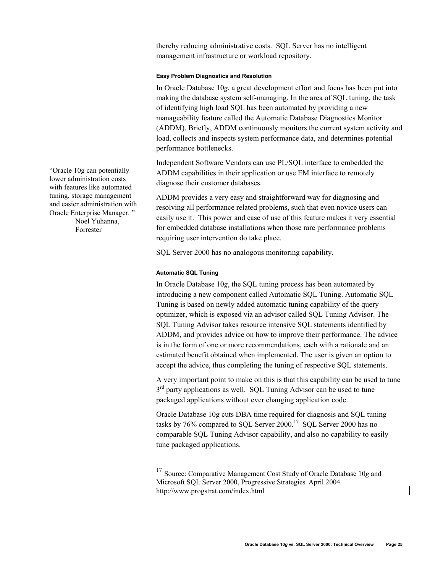thereby reducing administrative costs. SQL Server has no intelligent management infrastructure or workload repository.

## **Easy Problem Diagnostics and Resolution**

In Oracle Database 10*g*, a great development effort and focus has been put into making the database system self-managing. In the area of SQL tuning, the task of identifying high load SQL has been automated by providing a new manageability feature called the Automatic Database Diagnostics Monitor (ADDM). Briefly, ADDM continuously monitors the current system activity and load, collects and inspects system performance data, and determines potential performance bottlenecks.

Independent Software Vendors can use PL/SQL interface to embedded the ADDM capabilities in their application or use EM interface to remotely diagnose their customer databases.

ADDM provides a very easy and straightforward way for diagnosing and resolving all performance related problems, such that even novice users can easily use it. This power and ease of use of this feature makes it very essential for embedded database installations when those rare performance problems requiring user intervention do take place.

SQL Server 2000 has no analogous monitoring capability.

## **Automatic SQL Tuning**

 $\overline{a}$ 

In Oracle Database 10*g*, the SQL tuning process has been automated by introducing a new component called Automatic SQL Tuning. Automatic SQL Tuning is based on newly added automatic tuning capability of the query optimizer, which is exposed via an advisor called SQL Tuning Advisor. The SQL Tuning Advisor takes resource intensive SQL statements identified by ADDM, and provides advice on how to improve their performance. The advice is in the form of one or more recommendations, each with a rationale and an estimated benefit obtained when implemented. The user is given an option to accept the advice, thus completing the tuning of respective SQL statements.

A very important point to make on this is that this capability can be used to tune  $3<sup>rd</sup>$  party applications as well. SQL Tuning Advisor can be used to tune packaged applications without ever changing application code.

Oracle Database 10g cuts DBA time required for diagnosis and SQL tuning tasks by 76% compared to SQL Server 2000.<sup>17</sup> SQL Server 2000 has no comparable SQL Tuning Advisor capability, and also no capability to easily tune packaged applications.

"Oracle 10g can potentially lower administration costs with features like automated tuning, storage management and easier administration with Oracle Enterprise Manager. " Noel Yuhanna, Forrester

<sup>17</sup> Source: Comparative Management Cost Study of Oracle Database 10*g* and Microsoft SQL Server 2000, Progressive Strategies**,** April 2004 http://www.progstrat.com/index.html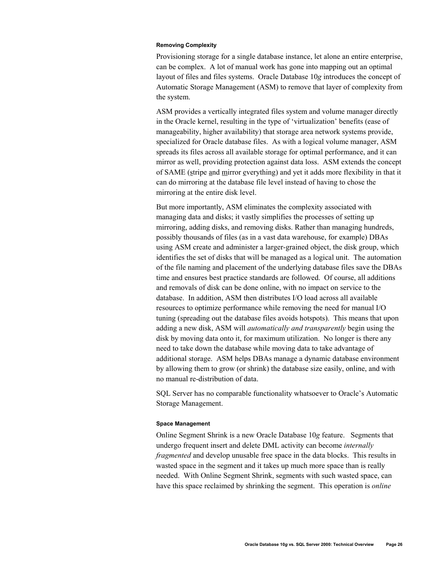#### **Removing Complexity**

Provisioning storage for a single database instance, let alone an entire enterprise, can be complex. A lot of manual work has gone into mapping out an optimal layout of files and files systems. Oracle Database 10*g* introduces the concept of Automatic Storage Management (ASM) to remove that layer of complexity from the system.

ASM provides a vertically integrated files system and volume manager directly in the Oracle kernel, resulting in the type of 'virtualization' benefits (ease of manageability, higher availability) that storage area network systems provide, specialized for Oracle database files. As with a logical volume manager, ASM spreads its files across all available storage for optimal performance, and it can mirror as well, providing protection against data loss. ASM extends the concept of SAME (stripe and mirror everything) and yet it adds more flexibility in that it can do mirroring at the database file level instead of having to chose the mirroring at the entire disk level.

But more importantly, ASM eliminates the complexity associated with managing data and disks; it vastly simplifies the processes of setting up mirroring, adding disks, and removing disks. Rather than managing hundreds, possibly thousands of files (as in a vast data warehouse, for example) DBAs using ASM create and administer a larger-grained object, the disk group, which identifies the set of disks that will be managed as a logical unit. The automation of the file naming and placement of the underlying database files save the DBAs time and ensures best practice standards are followed. Of course, all additions and removals of disk can be done online, with no impact on service to the database. In addition, ASM then distributes I/O load across all available resources to optimize performance while removing the need for manual I/O tuning (spreading out the database files avoids hotspots). This means that upon adding a new disk, ASM will *automatically and transparently* begin using the disk by moving data onto it, for maximum utilization. No longer is there any need to take down the database while moving data to take advantage of additional storage. ASM helps DBAs manage a dynamic database environment by allowing them to grow (or shrink) the database size easily, online, and with no manual re-distribution of data.

SQL Server has no comparable functionality whatsoever to Oracle's Automatic Storage Management.

#### **Space Management**

Online Segment Shrink is a new Oracle Database 10*g* feature. Segments that undergo frequent insert and delete DML activity can become *internally fragmented* and develop unusable free space in the data blocks. This results in wasted space in the segment and it takes up much more space than is really needed. With Online Segment Shrink, segments with such wasted space, can have this space reclaimed by shrinking the segment. This operation is *online*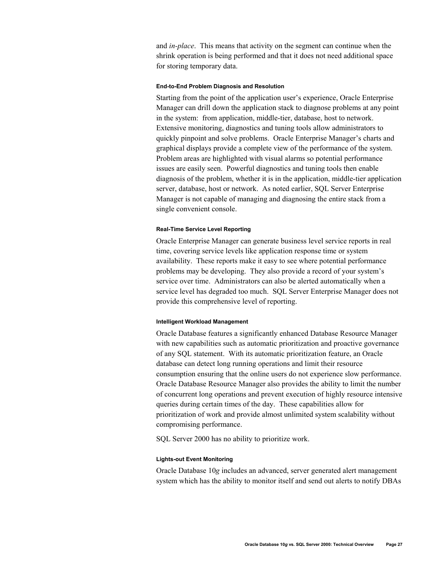and *in-place*. This means that activity on the segment can continue when the shrink operation is being performed and that it does not need additional space for storing temporary data.

#### **End-to-End Problem Diagnosis and Resolution**

Starting from the point of the application user's experience, Oracle Enterprise Manager can drill down the application stack to diagnose problems at any point in the system: from application, middle-tier, database, host to network. Extensive monitoring, diagnostics and tuning tools allow administrators to quickly pinpoint and solve problems. Oracle Enterprise Manager's charts and graphical displays provide a complete view of the performance of the system. Problem areas are highlighted with visual alarms so potential performance issues are easily seen. Powerful diagnostics and tuning tools then enable diagnosis of the problem, whether it is in the application, middle-tier application server, database, host or network. As noted earlier, SQL Server Enterprise Manager is not capable of managing and diagnosing the entire stack from a single convenient console.

#### **Real-Time Service Level Reporting**

Oracle Enterprise Manager can generate business level service reports in real time, covering service levels like application response time or system availability. These reports make it easy to see where potential performance problems may be developing. They also provide a record of your system's service over time. Administrators can also be alerted automatically when a service level has degraded too much. SQL Server Enterprise Manager does not provide this comprehensive level of reporting.

#### **Intelligent Workload Management**

Oracle Database features a significantly enhanced Database Resource Manager with new capabilities such as automatic prioritization and proactive governance of any SQL statement. With its automatic prioritization feature, an Oracle database can detect long running operations and limit their resource consumption ensuring that the online users do not experience slow performance. Oracle Database Resource Manager also provides the ability to limit the number of concurrent long operations and prevent execution of highly resource intensive queries during certain times of the day. These capabilities allow for prioritization of work and provide almost unlimited system scalability without compromising performance.

SQL Server 2000 has no ability to prioritize work.

## **Lights-out Event Monitoring**

Oracle Database 10*g* includes an advanced, server generated alert management system which has the ability to monitor itself and send out alerts to notify DBAs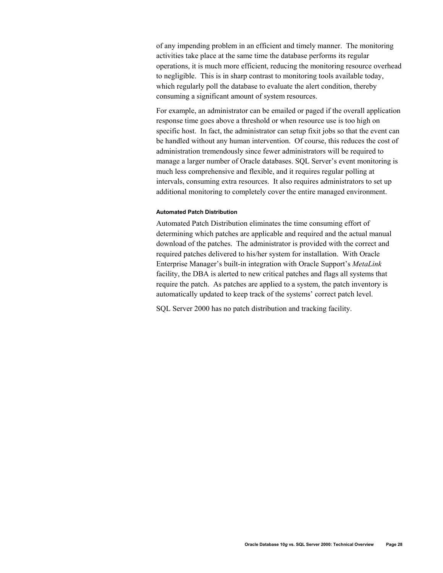of any impending problem in an efficient and timely manner. The monitoring activities take place at the same time the database performs its regular operations, it is much more efficient, reducing the monitoring resource overhead to negligible. This is in sharp contrast to monitoring tools available today, which regularly poll the database to evaluate the alert condition, thereby consuming a significant amount of system resources.

For example, an administrator can be emailed or paged if the overall application response time goes above a threshold or when resource use is too high on specific host. In fact, the administrator can setup fixit jobs so that the event can be handled without any human intervention. Of course, this reduces the cost of administration tremendously since fewer administrators will be required to manage a larger number of Oracle databases. SQL Server's event monitoring is much less comprehensive and flexible, and it requires regular polling at intervals, consuming extra resources. It also requires administrators to set up additional monitoring to completely cover the entire managed environment.

## **Automated Patch Distribution**

Automated Patch Distribution eliminates the time consuming effort of determining which patches are applicable and required and the actual manual download of the patches. The administrator is provided with the correct and required patches delivered to his/her system for installation. With Oracle Enterprise Manager's built-in integration with Oracle Support's *MetaLink* facility, the DBA is alerted to new critical patches and flags all systems that require the patch. As patches are applied to a system, the patch inventory is automatically updated to keep track of the systems' correct patch level.

SQL Server 2000 has no patch distribution and tracking facility.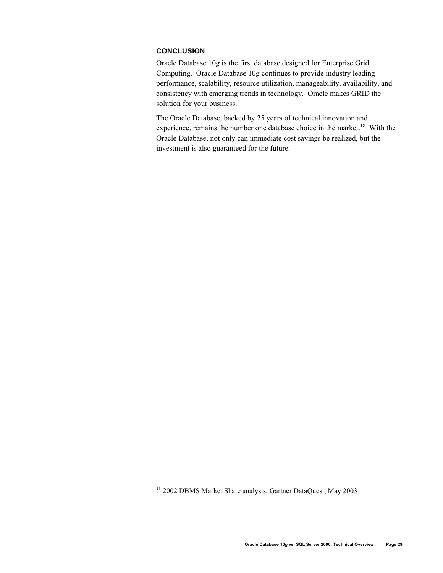# **CONCLUSION**

Oracle Database 10*g* is the first database designed for Enterprise Grid Computing. Oracle Database 10g continues to provide industry leading performance, scalability, resource utilization, manageability, availability, and consistency with emerging trends in technology. Oracle makes GRID the solution for your business.

The Oracle Database, backed by 25 years of technical innovation and experience, remains the number one database choice in the market.<sup>18</sup> With the Oracle Database, not only can immediate cost savings be realized, but the investment is also guaranteed for the future.

 $\overline{a}$ 

<sup>&</sup>lt;sup>18</sup> 2002 DBMS Market Share analysis, Gartner DataQuest, May 2003